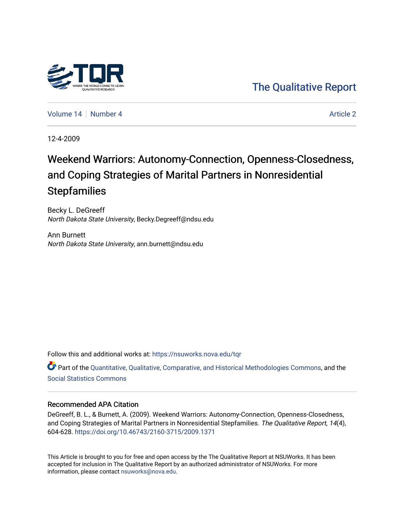# [The Qualitative Report](https://nsuworks.nova.edu/tqr)

[Volume 14](https://nsuworks.nova.edu/tqr/vol14) | [Number 4](https://nsuworks.nova.edu/tqr/vol14/iss4) [Article 2](https://nsuworks.nova.edu/tqr/vol14/iss4/2) Article 2 Article 2 Article 2 Article 2 Article 2

12-4-2009

# Weekend Warriors: Autonomy-Connection, Openness-Closedness, and Coping Strategies of Marital Partners in Nonresidential **Stepfamilies**

Becky L. DeGreeff North Dakota State University, Becky.Degreeff@ndsu.edu

Ann Burnett North Dakota State University, ann.burnett@ndsu.edu

Follow this and additional works at: [https://nsuworks.nova.edu/tqr](https://nsuworks.nova.edu/tqr?utm_source=nsuworks.nova.edu%2Ftqr%2Fvol14%2Fiss4%2F2&utm_medium=PDF&utm_campaign=PDFCoverPages) 

Part of the [Quantitative, Qualitative, Comparative, and Historical Methodologies Commons,](http://network.bepress.com/hgg/discipline/423?utm_source=nsuworks.nova.edu%2Ftqr%2Fvol14%2Fiss4%2F2&utm_medium=PDF&utm_campaign=PDFCoverPages) and the [Social Statistics Commons](http://network.bepress.com/hgg/discipline/1275?utm_source=nsuworks.nova.edu%2Ftqr%2Fvol14%2Fiss4%2F2&utm_medium=PDF&utm_campaign=PDFCoverPages) 

## Recommended APA Citation

DeGreeff, B. L., & Burnett, A. (2009). Weekend Warriors: Autonomy-Connection, Openness-Closedness, and Coping Strategies of Marital Partners in Nonresidential Stepfamilies. The Qualitative Report, 14(4), 604-628. <https://doi.org/10.46743/2160-3715/2009.1371>

This Article is brought to you for free and open access by the The Qualitative Report at NSUWorks. It has been accepted for inclusion in The Qualitative Report by an authorized administrator of NSUWorks. For more information, please contact [nsuworks@nova.edu.](mailto:nsuworks@nova.edu)

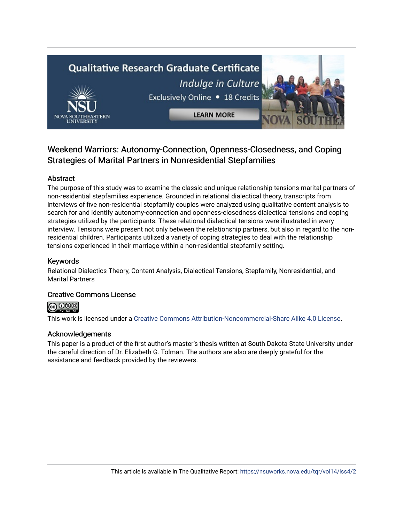# **Qualitative Research Graduate Certificate** Indulge in Culture Exclusively Online . 18 Credits



**LEARN MORE** 



# Weekend Warriors: Autonomy-Connection, Openness-Closedness, and Coping Strategies of Marital Partners in Nonresidential Stepfamilies

# Abstract

The purpose of this study was to examine the classic and unique relationship tensions marital partners of non-residential stepfamilies experience. Grounded in relational dialectical theory, transcripts from interviews of five non-residential stepfamily couples were analyzed using qualitative content analysis to search for and identify autonomy-connection and openness-closedness dialectical tensions and coping strategies utilized by the participants. These relational dialectical tensions were illustrated in every interview. Tensions were present not only between the relationship partners, but also in regard to the nonresidential children. Participants utilized a variety of coping strategies to deal with the relationship tensions experienced in their marriage within a non-residential stepfamily setting.

# Keywords

Relational Dialectics Theory, Content Analysis, Dialectical Tensions, Stepfamily, Nonresidential, and Marital Partners

# Creative Commons License

@ **0** මෙ

This work is licensed under a [Creative Commons Attribution-Noncommercial-Share Alike 4.0 License](https://creativecommons.org/licenses/by-nc-sa/4.0/).

# Acknowledgements

This paper is a product of the first author's master's thesis written at South Dakota State University under the careful direction of Dr. Elizabeth G. Tolman. The authors are also are deeply grateful for the assistance and feedback provided by the reviewers.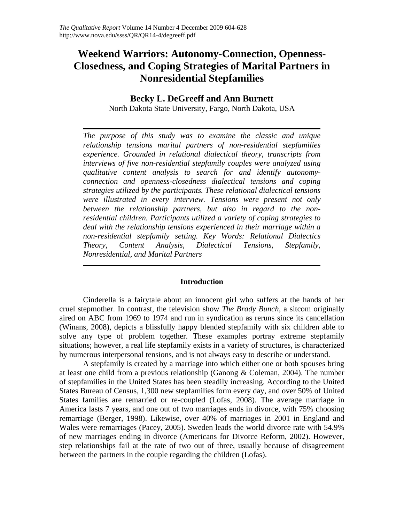# **Weekend Warriors: Autonomy-Connection, Openness-Closedness, and Coping Strategies of Marital Partners in Nonresidential Stepfamilies**

## **Becky L. DeGreeff and Ann Burnett**

North Dakota State University, Fargo, North Dakota, USA

*The purpose of this study was to examine the classic and unique relationship tensions marital partners of non-residential stepfamilies experience. Grounded in relational dialectical theory, transcripts from interviews of five non-residential stepfamily couples were analyzed using qualitative content analysis to search for and identify autonomyconnection and openness-closedness dialectical tensions and coping strategies utilized by the participants. These relational dialectical tensions were illustrated in every interview. Tensions were present not only between the relationship partners, but also in regard to the nonresidential children. Participants utilized a variety of coping strategies to deal with the relationship tensions experienced in their marriage within a non-residential stepfamily setting. Key Words: Relational Dialectics Theory, Content Analysis, Dialectical Tensions, Stepfamily, Nonresidential, and Marital Partners* 

## **Introduction**

Cinderella is a fairytale about an innocent girl who suffers at the hands of her cruel stepmother. In contrast, the television show *The Brady Bunch*, a sitcom originally aired on ABC from 1969 to 1974 and run in syndication as reruns since its cancellation (Winans, 2008), depicts a blissfully happy blended stepfamily with six children able to solve any type of problem together. These examples portray extreme stepfamily situations; however, a real life stepfamily exists in a variety of structures, is characterized by numerous interpersonal tensions, and is not always easy to describe or understand.

A stepfamily is created by a marriage into which either one or both spouses bring at least one child from a previous relationship (Ganong & Coleman, 2004). The number of stepfamilies in the United States has been steadily increasing. According to the United States Bureau of Census, 1,300 new stepfamilies form every day, and over 50% of United States families are remarried or re-coupled (Lofas, 2008). The average marriage in America lasts 7 years, and one out of two marriages ends in divorce, with 75% choosing remarriage (Berger, 1998). Likewise, over 40% of marriages in 2001 in England and Wales were remarriages (Pacey, 2005). Sweden leads the world divorce rate with 54.9% of new marriages ending in divorce (Americans for Divorce Reform, 2002). However, step relationships fail at the rate of two out of three, usually because of disagreement between the partners in the couple regarding the children (Lofas).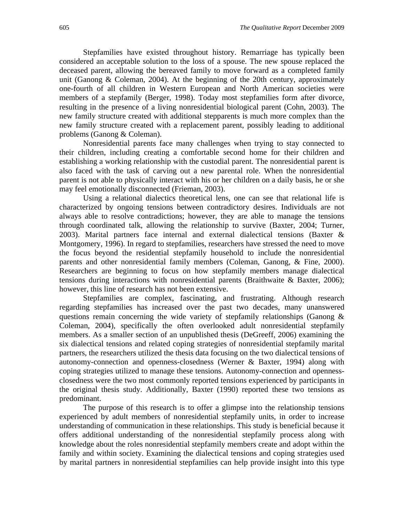Stepfamilies have existed throughout history. Remarriage has typically been considered an acceptable solution to the loss of a spouse. The new spouse replaced the deceased parent, allowing the bereaved family to move forward as a completed family unit (Ganong  $&$  Coleman, 2004). At the beginning of the 20th century, approximately one-fourth of all children in Western European and North American societies were members of a stepfamily (Berger, 1998). Today most stepfamilies form after divorce, resulting in the presence of a living nonresidential biological parent (Cohn, 2003). The new family structure created with additional stepparents is much more complex than the new family structure created with a replacement parent, possibly leading to additional problems (Ganong & Coleman).

Nonresidential parents face many challenges when trying to stay connected to their children, including creating a comfortable second home for their children and establishing a working relationship with the custodial parent. The nonresidential parent is also faced with the task of carving out a new parental role. When the nonresidential parent is not able to physically interact with his or her children on a daily basis, he or she may feel emotionally disconnected (Frieman, 2003).

Using a relational dialectics theoretical lens, one can see that relational life is characterized by ongoing tensions between contradictory desires. Individuals are not always able to resolve contradictions; however, they are able to manage the tensions through coordinated talk, allowing the relationship to survive (Baxter, 2004; Turner, 2003). Marital partners face internal and external dialectical tensions (Baxter & Montgomery, 1996). In regard to stepfamilies, researchers have stressed the need to move the focus beyond the residential stepfamily household to include the nonresidential parents and other nonresidential family members (Coleman, Ganong, & Fine, 2000). Researchers are beginning to focus on how stepfamily members manage dialectical tensions during interactions with nonresidential parents (Braithwaite & Baxter, 2006); however, this line of research has not been extensive.

Stepfamilies are complex, fascinating, and frustrating. Although research regarding stepfamilies has increased over the past two decades, many unanswered questions remain concerning the wide variety of stepfamily relationships (Ganong & Coleman, 2004), specifically the often overlooked adult nonresidential stepfamily members. As a smaller section of an unpublished thesis (DeGreeff, 2006) examining the six dialectical tensions and related coping strategies of nonresidential stepfamily marital partners, the researchers utilized the thesis data focusing on the two dialectical tensions of autonomy-connection and openness-closedness (Werner & Baxter, 1994) along with coping strategies utilized to manage these tensions. Autonomy-connection and opennessclosedness were the two most commonly reported tensions experienced by participants in the original thesis study. Additionally, Baxter (1990) reported these two tensions as predominant.

The purpose of this research is to offer a glimpse into the relationship tensions experienced by adult members of nonresidential stepfamily units, in order to increase understanding of communication in these relationships. This study is beneficial because it offers additional understanding of the nonresidential stepfamily process along with knowledge about the roles nonresidential stepfamily members create and adopt within the family and within society. Examining the dialectical tensions and coping strategies used by marital partners in nonresidential stepfamilies can help provide insight into this type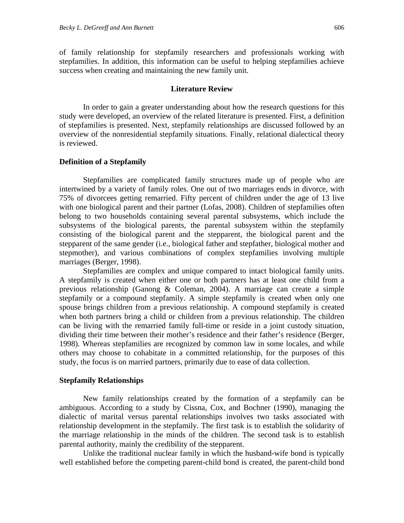of family relationship for stepfamily researchers and professionals working with stepfamilies. In addition, this information can be useful to helping stepfamilies achieve success when creating and maintaining the new family unit.

### **Literature Review**

In order to gain a greater understanding about how the research questions for this study were developed, an overview of the related literature is presented. First, a definition of stepfamilies is presented. Next, stepfamily relationships are discussed followed by an overview of the nonresidential stepfamily situations. Finally, relational dialectical theory is reviewed.

## **Definition of a Stepfamily**

Stepfamilies are complicated family structures made up of people who are intertwined by a variety of family roles. One out of two marriages ends in divorce, with 75% of divorcees getting remarried. Fifty percent of children under the age of 13 live with one biological parent and their partner (Lofas, 2008). Children of stepfamilies often belong to two households containing several parental subsystems, which include the subsystems of the biological parents, the parental subsystem within the stepfamily consisting of the biological parent and the stepparent, the biological parent and the stepparent of the same gender (i.e., biological father and stepfather, biological mother and stepmother), and various combinations of complex stepfamilies involving multiple marriages (Berger, 1998).

Stepfamilies are complex and unique compared to intact biological family units. A stepfamily is created when either one or both partners has at least one child from a previous relationship (Ganong & Coleman, 2004). A marriage can create a simple stepfamily or a compound stepfamily. A simple stepfamily is created when only one spouse brings children from a previous relationship. A compound stepfamily is created when both partners bring a child or children from a previous relationship. The children can be living with the remarried family full-time or reside in a joint custody situation, dividing their time between their mother's residence and their father's residence (Berger, 1998). Whereas stepfamilies are recognized by common law in some locales, and while others may choose to cohabitate in a committed relationship, for the purposes of this study, the focus is on married partners, primarily due to ease of data collection.

#### **Stepfamily Relationships**

New family relationships created by the formation of a stepfamily can be ambiguous. According to a study by Cissna, Cox, and Bochner (1990), managing the dialectic of marital versus parental relationships involves two tasks associated with relationship development in the stepfamily. The first task is to establish the solidarity of the marriage relationship in the minds of the children. The second task is to establish parental authority, mainly the credibility of the stepparent.

Unlike the traditional nuclear family in which the husband-wife bond is typically well established before the competing parent-child bond is created, the parent-child bond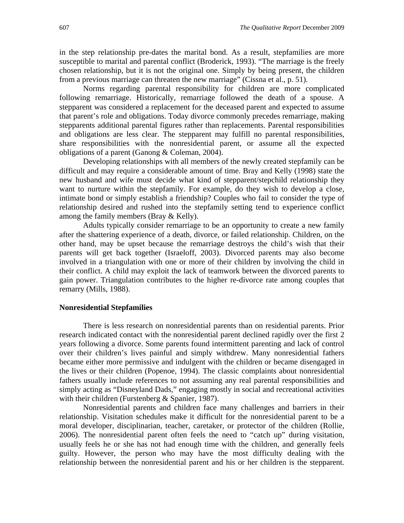in the step relationship pre-dates the marital bond. As a result, stepfamilies are more susceptible to marital and parental conflict (Broderick, 1993). "The marriage is the freely chosen relationship, but it is not the original one. Simply by being present, the children from a previous marriage can threaten the new marriage" (Cissna et al., p. 51).

Norms regarding parental responsibility for children are more complicated following remarriage. Historically, remarriage followed the death of a spouse. A stepparent was considered a replacement for the deceased parent and expected to assume that parent's role and obligations. Today divorce commonly precedes remarriage, making stepparents additional parental figures rather than replacements. Parental responsibilities and obligations are less clear. The stepparent may fulfill no parental responsibilities, share responsibilities with the nonresidential parent, or assume all the expected obligations of a parent (Ganong & Coleman, 2004).

Developing relationships with all members of the newly created stepfamily can be difficult and may require a considerable amount of time. Bray and Kelly (1998) state the new husband and wife must decide what kind of stepparent/stepchild relationship they want to nurture within the stepfamily. For example, do they wish to develop a close, intimate bond or simply establish a friendship? Couples who fail to consider the type of relationship desired and rushed into the stepfamily setting tend to experience conflict among the family members (Bray & Kelly).

Adults typically consider remarriage to be an opportunity to create a new family after the shattering experience of a death, divorce, or failed relationship. Children, on the other hand, may be upset because the remarriage destroys the child's wish that their parents will get back together (Israeloff, 2003). Divorced parents may also become involved in a triangulation with one or more of their children by involving the child in their conflict. A child may exploit the lack of teamwork between the divorced parents to gain power. Triangulation contributes to the higher re-divorce rate among couples that remarry (Mills, 1988).

#### **Nonresidential Stepfamilies**

There is less research on nonresidential parents than on residential parents. Prior research indicated contact with the nonresidential parent declined rapidly over the first 2 years following a divorce. Some parents found intermittent parenting and lack of control over their children's lives painful and simply withdrew. Many nonresidential fathers became either more permissive and indulgent with the children or became disengaged in the lives or their children (Popenoe, 1994). The classic complaints about nonresidential fathers usually include references to not assuming any real parental responsibilities and simply acting as "Disneyland Dads," engaging mostly in social and recreational activities with their children (Furstenberg & Spanier, 1987).

Nonresidential parents and children face many challenges and barriers in their relationship. Visitation schedules make it difficult for the nonresidential parent to be a moral developer, disciplinarian, teacher, caretaker, or protector of the children (Rollie, 2006). The nonresidential parent often feels the need to "catch up" during visitation, usually feels he or she has not had enough time with the children, and generally feels guilty. However, the person who may have the most difficulty dealing with the relationship between the nonresidential parent and his or her children is the stepparent.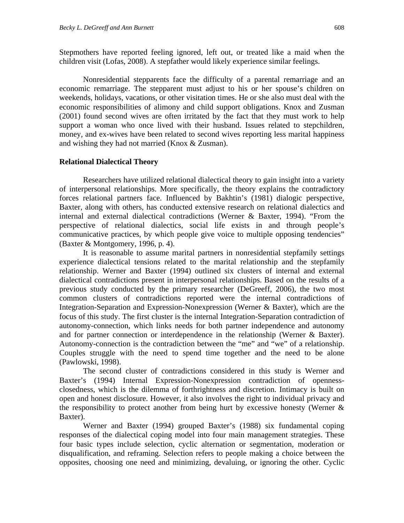Stepmothers have reported feeling ignored, left out, or treated like a maid when the children visit (Lofas, 2008). A stepfather would likely experience similar feelings.

Nonresidential stepparents face the difficulty of a parental remarriage and an economic remarriage. The stepparent must adjust to his or her spouse's children on weekends, holidays, vacations, or other visitation times. He or she also must deal with the economic responsibilities of alimony and child support obligations. Knox and Zusman (2001) found second wives are often irritated by the fact that they must work to help support a woman who once lived with their husband. Issues related to stepchildren, money, and ex-wives have been related to second wives reporting less marital happiness and wishing they had not married (Knox & Zusman).

#### **Relational Dialectical Theory**

Researchers have utilized relational dialectical theory to gain insight into a variety of interpersonal relationships. More specifically, the theory explains the contradictory forces relational partners face. Influenced by Bakhtin's (1981) dialogic perspective, Baxter, along with others, has conducted extensive research on relational dialectics and internal and external dialectical contradictions (Werner & Baxter, 1994). "From the perspective of relational dialectics, social life exists in and through people's communicative practices, by which people give voice to multiple opposing tendencies" (Baxter & Montgomery, 1996, p. 4).

It is reasonable to assume marital partners in nonresidential stepfamily settings experience dialectical tensions related to the marital relationship and the stepfamily relationship. Werner and Baxter (1994) outlined six clusters of internal and external dialectical contradictions present in interpersonal relationships. Based on the results of a previous study conducted by the primary researcher (DeGreeff, 2006), the two most common clusters of contradictions reported were the internal contradictions of Integration-Separation and Expression-Nonexpression (Werner & Baxter), which are the focus of this study. The first cluster is the internal Integration-Separation contradiction of autonomy-connection, which links needs for both partner independence and autonomy and for partner connection or interdependence in the relationship (Werner & Baxter). Autonomy-connection is the contradiction between the "me" and "we" of a relationship. Couples struggle with the need to spend time together and the need to be alone (Pawlowski, 1998).

The second cluster of contradictions considered in this study is Werner and Baxter's (1994) Internal Expression-Nonexpression contradiction of opennessclosedness, which is the dilemma of forthrightness and discretion. Intimacy is built on open and honest disclosure. However, it also involves the right to individual privacy and the responsibility to protect another from being hurt by excessive honesty (Werner & Baxter).

Werner and Baxter (1994) grouped Baxter's (1988) six fundamental coping responses of the dialectical coping model into four main management strategies. These four basic types include selection, cyclic alternation or segmentation, moderation or disqualification, and reframing. Selection refers to people making a choice between the opposites, choosing one need and minimizing, devaluing, or ignoring the other. Cyclic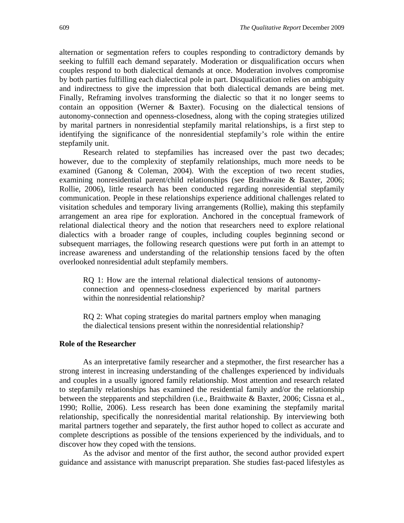alternation or segmentation refers to couples responding to contradictory demands by seeking to fulfill each demand separately. Moderation or disqualification occurs when couples respond to both dialectical demands at once. Moderation involves compromise by both parties fulfilling each dialectical pole in part. Disqualification relies on ambiguity and indirectness to give the impression that both dialectical demands are being met. Finally, Reframing involves transforming the dialectic so that it no longer seems to contain an opposition (Werner & Baxter). Focusing on the dialectical tensions of autonomy-connection and openness-closedness, along with the coping strategies utilized by marital partners in nonresidential stepfamily marital relationships, is a first step to identifying the significance of the nonresidential stepfamily's role within the entire stepfamily unit.

Research related to stepfamilies has increased over the past two decades; however, due to the complexity of stepfamily relationships, much more needs to be examined (Ganong & Coleman, 2004). With the exception of two recent studies, examining nonresidential parent/child relationships (see Braithwaite & Baxter, 2006; Rollie, 2006), little research has been conducted regarding nonresidential stepfamily communication. People in these relationships experience additional challenges related to visitation schedules and temporary living arrangements (Rollie), making this stepfamily arrangement an area ripe for exploration. Anchored in the conceptual framework of relational dialectical theory and the notion that researchers need to explore relational dialectics with a broader range of couples, including couples beginning second or subsequent marriages, the following research questions were put forth in an attempt to increase awareness and understanding of the relationship tensions faced by the often overlooked nonresidential adult stepfamily members.

RQ 1: How are the internal relational dialectical tensions of autonomyconnection and openness-closedness experienced by marital partners within the nonresidential relationship?

RQ 2: What coping strategies do marital partners employ when managing the dialectical tensions present within the nonresidential relationship?

#### **Role of the Researcher**

As an interpretative family researcher and a stepmother, the first researcher has a strong interest in increasing understanding of the challenges experienced by individuals and couples in a usually ignored family relationship. Most attention and research related to stepfamily relationships has examined the residential family and/or the relationship between the stepparents and stepchildren (i.e., Braithwaite & Baxter, 2006; Cissna et al., 1990; Rollie, 2006). Less research has been done examining the stepfamily marital relationship, specifically the nonresidential marital relationship. By interviewing both marital partners together and separately, the first author hoped to collect as accurate and complete descriptions as possible of the tensions experienced by the individuals, and to discover how they coped with the tensions.

As the advisor and mentor of the first author, the second author provided expert guidance and assistance with manuscript preparation. She studies fast-paced lifestyles as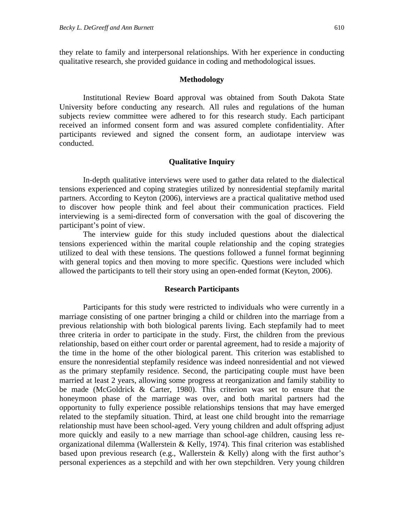they relate to family and interpersonal relationships. With her experience in conducting qualitative research, she provided guidance in coding and methodological issues.

### **Methodology**

Institutional Review Board approval was obtained from South Dakota State University before conducting any research. All rules and regulations of the human subjects review committee were adhered to for this research study. Each participant received an informed consent form and was assured complete confidentiality. After participants reviewed and signed the consent form, an audiotape interview was conducted.

## **Qualitative Inquiry**

In-depth qualitative interviews were used to gather data related to the dialectical tensions experienced and coping strategies utilized by nonresidential stepfamily marital partners. According to Keyton (2006), interviews are a practical qualitative method used to discover how people think and feel about their communication practices. Field interviewing is a semi-directed form of conversation with the goal of discovering the participant's point of view.

The interview guide for this study included questions about the dialectical tensions experienced within the marital couple relationship and the coping strategies utilized to deal with these tensions. The questions followed a funnel format beginning with general topics and then moving to more specific. Questions were included which allowed the participants to tell their story using an open-ended format (Keyton, 2006).

#### **Research Participants**

Participants for this study were restricted to individuals who were currently in a marriage consisting of one partner bringing a child or children into the marriage from a previous relationship with both biological parents living. Each stepfamily had to meet three criteria in order to participate in the study. First, the children from the previous relationship, based on either court order or parental agreement, had to reside a majority of the time in the home of the other biological parent. This criterion was established to ensure the nonresidential stepfamily residence was indeed nonresidential and not viewed as the primary stepfamily residence. Second, the participating couple must have been married at least 2 years, allowing some progress at reorganization and family stability to be made (McGoldrick & Carter, 1980). This criterion was set to ensure that the honeymoon phase of the marriage was over, and both marital partners had the opportunity to fully experience possible relationships tensions that may have emerged related to the stepfamily situation. Third, at least one child brought into the remarriage relationship must have been school-aged. Very young children and adult offspring adjust more quickly and easily to a new marriage than school-age children, causing less reorganizational dilemma (Wallerstein & Kelly, 1974). This final criterion was established based upon previous research (e.g., Wallerstein & Kelly) along with the first author's personal experiences as a stepchild and with her own stepchildren. Very young children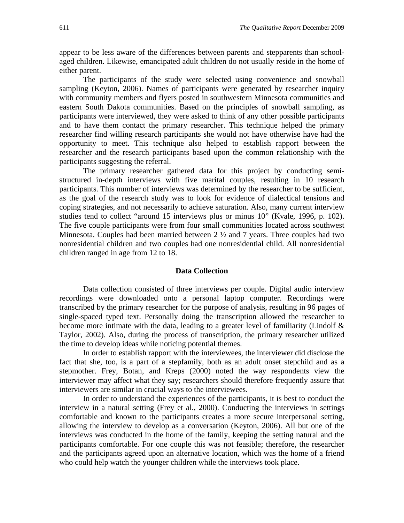appear to be less aware of the differences between parents and stepparents than schoolaged children. Likewise, emancipated adult children do not usually reside in the home of either parent.

The participants of the study were selected using convenience and snowball sampling (Keyton, 2006). Names of participants were generated by researcher inquiry with community members and flyers posted in southwestern Minnesota communities and eastern South Dakota communities. Based on the principles of snowball sampling, as participants were interviewed, they were asked to think of any other possible participants and to have them contact the primary researcher. This technique helped the primary researcher find willing research participants she would not have otherwise have had the opportunity to meet. This technique also helped to establish rapport between the researcher and the research participants based upon the common relationship with the participants suggesting the referral.

The primary researcher gathered data for this project by conducting semistructured in-depth interviews with five marital couples, resulting in 10 research participants. This number of interviews was determined by the researcher to be sufficient, as the goal of the research study was to look for evidence of dialectical tensions and coping strategies, and not necessarily to achieve saturation. Also, many current interview studies tend to collect "around 15 interviews plus or minus 10" (Kvale, 1996, p. 102). The five couple participants were from four small communities located across southwest Minnesota. Couples had been married between 2 ½ and 7 years. Three couples had two nonresidential children and two couples had one nonresidential child. All nonresidential children ranged in age from 12 to 18.

#### **Data Collection**

Data collection consisted of three interviews per couple. Digital audio interview recordings were downloaded onto a personal laptop computer. Recordings were transcribed by the primary researcher for the purpose of analysis, resulting in 96 pages of single-spaced typed text. Personally doing the transcription allowed the researcher to become more intimate with the data, leading to a greater level of familiarity (Lindolf  $\&$ Taylor, 2002). Also, during the process of transcription, the primary researcher utilized the time to develop ideas while noticing potential themes.

In order to establish rapport with the interviewees, the interviewer did disclose the fact that she, too, is a part of a stepfamily, both as an adult onset stepchild and as a stepmother. Frey, Botan, and Kreps (2000) noted the way respondents view the interviewer may affect what they say; researchers should therefore frequently assure that interviewers are similar in crucial ways to the interviewees.

In order to understand the experiences of the participants, it is best to conduct the interview in a natural setting (Frey et al., 2000). Conducting the interviews in settings comfortable and known to the participants creates a more secure interpersonal setting, allowing the interview to develop as a conversation (Keyton, 2006). All but one of the interviews was conducted in the home of the family, keeping the setting natural and the participants comfortable. For one couple this was not feasible; therefore, the researcher and the participants agreed upon an alternative location, which was the home of a friend who could help watch the younger children while the interviews took place.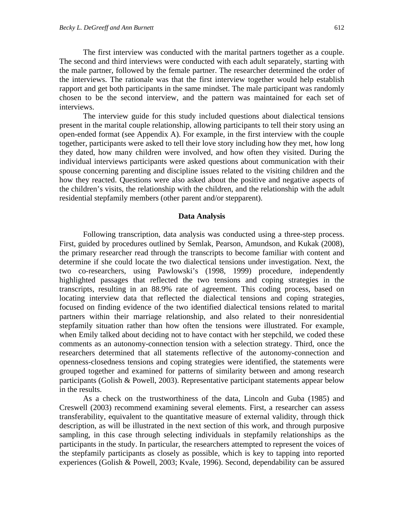The first interview was conducted with the marital partners together as a couple. The second and third interviews were conducted with each adult separately, starting with the male partner, followed by the female partner. The researcher determined the order of the interviews. The rationale was that the first interview together would help establish rapport and get both participants in the same mindset. The male participant was randomly chosen to be the second interview, and the pattern was maintained for each set of interviews.

The interview guide for this study included questions about dialectical tensions present in the marital couple relationship, allowing participants to tell their story using an open-ended format (see Appendix A). For example, in the first interview with the couple together, participants were asked to tell their love story including how they met, how long they dated, how many children were involved, and how often they visited. During the individual interviews participants were asked questions about communication with their spouse concerning parenting and discipline issues related to the visiting children and the how they reacted. Questions were also asked about the positive and negative aspects of the children's visits, the relationship with the children, and the relationship with the adult residential stepfamily members (other parent and/or stepparent).

#### **Data Analysis**

Following transcription, data analysis was conducted using a three-step process. First, guided by procedures outlined by Semlak, Pearson, Amundson, and Kukak (2008), the primary researcher read through the transcripts to become familiar with content and determine if she could locate the two dialectical tensions under investigation. Next, the two co-researchers, using Pawlowski's (1998, 1999) procedure, independently highlighted passages that reflected the two tensions and coping strategies in the transcripts, resulting in an 88.9% rate of agreement. This coding process, based on locating interview data that reflected the dialectical tensions and coping strategies, focused on finding evidence of the two identified dialectical tensions related to marital partners within their marriage relationship, and also related to their nonresidential stepfamily situation rather than how often the tensions were illustrated. For example, when Emily talked about deciding not to have contact with her stepchild, we coded these comments as an autonomy-connection tension with a selection strategy. Third, once the researchers determined that all statements reflective of the autonomy-connection and openness-closedness tensions and coping strategies were identified, the statements were grouped together and examined for patterns of similarity between and among research participants (Golish & Powell, 2003). Representative participant statements appear below in the results.

As a check on the trustworthiness of the data, Lincoln and Guba (1985) and Creswell (2003) recommend examining several elements. First, a researcher can assess transferability, equivalent to the quantitative measure of external validity, through thick description, as will be illustrated in the next section of this work, and through purposive sampling, in this case through selecting individuals in stepfamily relationships as the participants in the study. In particular, the researchers attempted to represent the voices of the stepfamily participants as closely as possible, which is key to tapping into reported experiences (Golish & Powell, 2003; Kvale, 1996). Second, dependability can be assured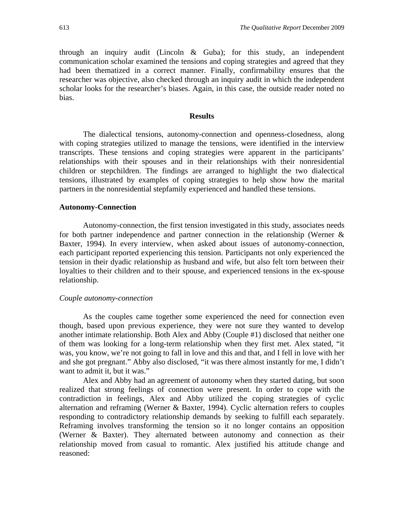through an inquiry audit (Lincoln & Guba); for this study, an independent communication scholar examined the tensions and coping strategies and agreed that they had been thematized in a correct manner. Finally, confirmability ensures that the researcher was objective, also checked through an inquiry audit in which the independent scholar looks for the researcher's biases. Again, in this case, the outside reader noted no bias.

#### **Results**

The dialectical tensions, autonomy-connection and openness-closedness, along with coping strategies utilized to manage the tensions, were identified in the interview transcripts. These tensions and coping strategies were apparent in the participants' relationships with their spouses and in their relationships with their nonresidential children or stepchildren. The findings are arranged to highlight the two dialectical tensions, illustrated by examples of coping strategies to help show how the marital partners in the nonresidential stepfamily experienced and handled these tensions.

#### **Autonomy-Connection**

Autonomy-connection, the first tension investigated in this study, associates needs for both partner independence and partner connection in the relationship (Werner & Baxter, 1994). In every interview, when asked about issues of autonomy-connection, each participant reported experiencing this tension. Participants not only experienced the tension in their dyadic relationship as husband and wife, but also felt torn between their loyalties to their children and to their spouse, and experienced tensions in the ex-spouse relationship.

#### *Couple autonomy-connection*

As the couples came together some experienced the need for connection even though, based upon previous experience, they were not sure they wanted to develop another intimate relationship. Both Alex and Abby (Couple #1) disclosed that neither one of them was looking for a long-term relationship when they first met. Alex stated, "it was, you know, we're not going to fall in love and this and that, and I fell in love with her and she got pregnant." Abby also disclosed, "it was there almost instantly for me, I didn't want to admit it, but it was."

Alex and Abby had an agreement of autonomy when they started dating, but soon realized that strong feelings of connection were present. In order to cope with the contradiction in feelings, Alex and Abby utilized the coping strategies of cyclic alternation and reframing (Werner & Baxter, 1994). Cyclic alternation refers to couples responding to contradictory relationship demands by seeking to fulfill each separately. Reframing involves transforming the tension so it no longer contains an opposition (Werner & Baxter). They alternated between autonomy and connection as their relationship moved from casual to romantic. Alex justified his attitude change and reasoned: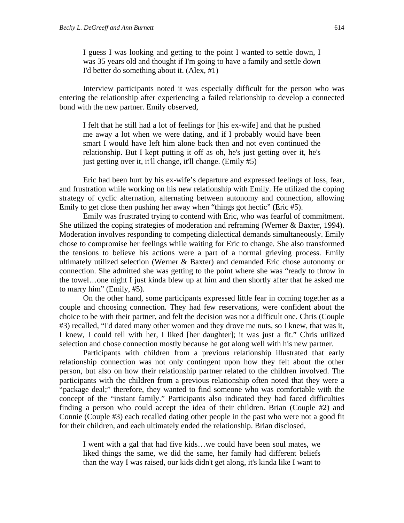I guess I was looking and getting to the point I wanted to settle down, I was 35 years old and thought if I'm going to have a family and settle down I'd better do something about it. (Alex, #1)

Interview participants noted it was especially difficult for the person who was entering the relationship after experiencing a failed relationship to develop a connected bond with the new partner. Emily observed,

I felt that he still had a lot of feelings for [his ex-wife] and that he pushed me away a lot when we were dating, and if I probably would have been smart I would have left him alone back then and not even continued the relationship. But I kept putting it off as oh, he's just getting over it, he's just getting over it, it'll change, it'll change. (Emily #5)

Eric had been hurt by his ex-wife's departure and expressed feelings of loss, fear, and frustration while working on his new relationship with Emily. He utilized the coping strategy of cyclic alternation, alternating between autonomy and connection, allowing Emily to get close then pushing her away when "things got hectic" (Eric #5).

Emily was frustrated trying to contend with Eric, who was fearful of commitment. She utilized the coping strategies of moderation and reframing (Werner & Baxter, 1994). Moderation involves responding to competing dialectical demands simultaneously. Emily chose to compromise her feelings while waiting for Eric to change. She also transformed the tensions to believe his actions were a part of a normal grieving process. Emily ultimately utilized selection (Werner & Baxter) and demanded Eric chose autonomy or connection. She admitted she was getting to the point where she was "ready to throw in the towel…one night I just kinda blew up at him and then shortly after that he asked me to marry him" (Emily, #5).

On the other hand, some participants expressed little fear in coming together as a couple and choosing connection. They had few reservations, were confident about the choice to be with their partner, and felt the decision was not a difficult one. Chris (Couple #3) recalled, "I'd dated many other women and they drove me nuts, so I knew, that was it, I knew, I could tell with her, I liked [her daughter]; it was just a fit." Chris utilized selection and chose connection mostly because he got along well with his new partner.

Participants with children from a previous relationship illustrated that early relationship connection was not only contingent upon how they felt about the other person, but also on how their relationship partner related to the children involved. The participants with the children from a previous relationship often noted that they were a "package deal;" therefore, they wanted to find someone who was comfortable with the concept of the "instant family." Participants also indicated they had faced difficulties finding a person who could accept the idea of their children. Brian (Couple #2) and Connie (Couple #3) each recalled dating other people in the past who were not a good fit for their children, and each ultimately ended the relationship. Brian disclosed,

I went with a gal that had five kids…we could have been soul mates, we liked things the same, we did the same, her family had different beliefs than the way I was raised, our kids didn't get along, it's kinda like I want to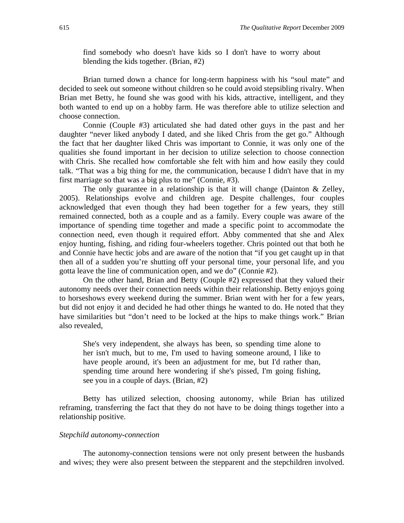find somebody who doesn't have kids so I don't have to worry about blending the kids together. (Brian, #2)

Brian turned down a chance for long-term happiness with his "soul mate" and decided to seek out someone without children so he could avoid stepsibling rivalry. When Brian met Betty, he found she was good with his kids, attractive, intelligent, and they both wanted to end up on a hobby farm. He was therefore able to utilize selection and choose connection.

Connie (Couple #3) articulated she had dated other guys in the past and her daughter "never liked anybody I dated, and she liked Chris from the get go." Although the fact that her daughter liked Chris was important to Connie, it was only one of the qualities she found important in her decision to utilize selection to choose connection with Chris. She recalled how comfortable she felt with him and how easily they could talk. "That was a big thing for me, the communication, because I didn't have that in my first marriage so that was a big plus to me" (Connie, #3).

The only guarantee in a relationship is that it will change (Dainton & Zelley, 2005). Relationships evolve and children age. Despite challenges, four couples acknowledged that even though they had been together for a few years, they still remained connected, both as a couple and as a family. Every couple was aware of the importance of spending time together and made a specific point to accommodate the connection need, even though it required effort. Abby commented that she and Alex enjoy hunting, fishing, and riding four-wheelers together. Chris pointed out that both he and Connie have hectic jobs and are aware of the notion that "if you get caught up in that then all of a sudden you're shutting off your personal time, your personal life, and you gotta leave the line of communication open, and we do" (Connie #2).

On the other hand, Brian and Betty (Couple #2) expressed that they valued their autonomy needs over their connection needs within their relationship. Betty enjoys going to horseshows every weekend during the summer. Brian went with her for a few years, but did not enjoy it and decided he had other things he wanted to do. He noted that they have similarities but "don't need to be locked at the hips to make things work." Brian also revealed,

She's very independent, she always has been, so spending time alone to her isn't much, but to me, I'm used to having someone around, I like to have people around, it's been an adjustment for me, but I'd rather than, spending time around here wondering if she's pissed, I'm going fishing, see you in a couple of days. (Brian, #2)

Betty has utilized selection, choosing autonomy, while Brian has utilized reframing, transferring the fact that they do not have to be doing things together into a relationship positive.

## *Stepchild autonomy-connection*

The autonomy-connection tensions were not only present between the husbands and wives; they were also present between the stepparent and the stepchildren involved.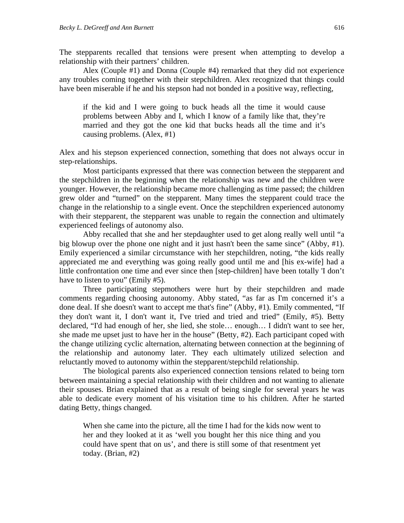The stepparents recalled that tensions were present when attempting to develop a relationship with their partners' children.

Alex (Couple #1) and Donna (Couple #4) remarked that they did not experience any troubles coming together with their stepchildren. Alex recognized that things could have been miserable if he and his stepson had not bonded in a positive way, reflecting,

if the kid and I were going to buck heads all the time it would cause problems between Abby and I, which I know of a family like that, they're married and they got the one kid that bucks heads all the time and it's causing problems. (Alex, #1)

Alex and his stepson experienced connection, something that does not always occur in step-relationships.

Most participants expressed that there was connection between the stepparent and the stepchildren in the beginning when the relationship was new and the children were younger. However, the relationship became more challenging as time passed; the children grew older and "turned" on the stepparent. Many times the stepparent could trace the change in the relationship to a single event. Once the stepchildren experienced autonomy with their stepparent, the stepparent was unable to regain the connection and ultimately experienced feelings of autonomy also.

Abby recalled that she and her stepdaughter used to get along really well until "a big blowup over the phone one night and it just hasn't been the same since" (Abby, #1). Emily experienced a similar circumstance with her stepchildren, noting, "the kids really appreciated me and everything was going really good until me and [his ex-wife] had a little confrontation one time and ever since then [step-children] have been totally 'I don't have to listen to you" (Emily #5).

Three participating stepmothers were hurt by their stepchildren and made comments regarding choosing autonomy. Abby stated, "as far as I'm concerned it's a done deal. If she doesn't want to accept me that's fine" (Abby, #1). Emily commented, "If they don't want it, I don't want it, I've tried and tried and tried" (Emily, #5). Betty declared, "I'd had enough of her, she lied, she stole… enough… I didn't want to see her, she made me upset just to have her in the house" (Betty, #2). Each participant coped with the change utilizing cyclic alternation, alternating between connection at the beginning of the relationship and autonomy later. They each ultimately utilized selection and reluctantly moved to autonomy within the stepparent/stepchild relationship.

The biological parents also experienced connection tensions related to being torn between maintaining a special relationship with their children and not wanting to alienate their spouses. Brian explained that as a result of being single for several years he was able to dedicate every moment of his visitation time to his children. After he started dating Betty, things changed.

When she came into the picture, all the time I had for the kids now went to her and they looked at it as 'well you bought her this nice thing and you could have spent that on us', and there is still some of that resentment yet today. (Brian, #2)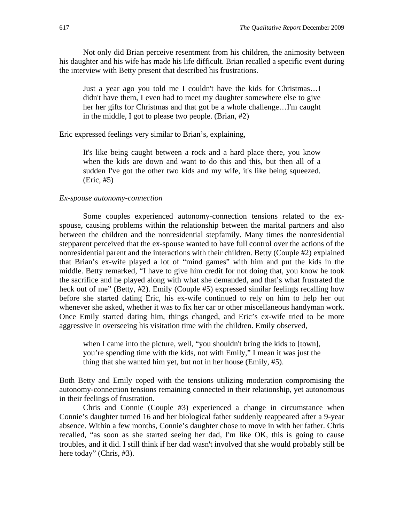Not only did Brian perceive resentment from his children, the animosity between his daughter and his wife has made his life difficult. Brian recalled a specific event during the interview with Betty present that described his frustrations.

Just a year ago you told me I couldn't have the kids for Christmas…I didn't have them, I even had to meet my daughter somewhere else to give her her gifts for Christmas and that got be a whole challenge…I'm caught in the middle, I got to please two people. (Brian, #2)

Eric expressed feelings very similar to Brian's, explaining,

It's like being caught between a rock and a hard place there, you know when the kids are down and want to do this and this, but then all of a sudden I've got the other two kids and my wife, it's like being squeezed. (Eric, #5)

## *Ex-spouse autonomy-connection*

Some couples experienced autonomy-connection tensions related to the exspouse, causing problems within the relationship between the marital partners and also between the children and the nonresidential stepfamily. Many times the nonresidential stepparent perceived that the ex-spouse wanted to have full control over the actions of the nonresidential parent and the interactions with their children. Betty (Couple #2) explained that Brian's ex-wife played a lot of "mind games" with him and put the kids in the middle. Betty remarked, "I have to give him credit for not doing that, you know he took the sacrifice and he played along with what she demanded, and that's what frustrated the heck out of me" (Betty, #2). Emily (Couple #5) expressed similar feelings recalling how before she started dating Eric, his ex-wife continued to rely on him to help her out whenever she asked, whether it was to fix her car or other miscellaneous handyman work. Once Emily started dating him, things changed, and Eric's ex-wife tried to be more aggressive in overseeing his visitation time with the children. Emily observed,

when I came into the picture, well, "you shouldn't bring the kids to [town], you're spending time with the kids, not with Emily," I mean it was just the thing that she wanted him yet, but not in her house (Emily, #5).

Both Betty and Emily coped with the tensions utilizing moderation compromising the autonomy-connection tensions remaining connected in their relationship, yet autonomous in their feelings of frustration.

Chris and Connie (Couple #3) experienced a change in circumstance when Connie's daughter turned 16 and her biological father suddenly reappeared after a 9-year absence. Within a few months, Connie's daughter chose to move in with her father. Chris recalled, "as soon as she started seeing her dad, I'm like OK, this is going to cause troubles, and it did. I still think if her dad wasn't involved that she would probably still be here today" (Chris, #3).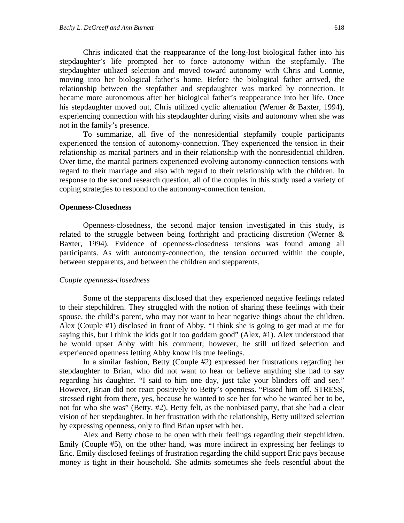Chris indicated that the reappearance of the long-lost biological father into his stepdaughter's life prompted her to force autonomy within the stepfamily. The stepdaughter utilized selection and moved toward autonomy with Chris and Connie, moving into her biological father's home. Before the biological father arrived, the relationship between the stepfather and stepdaughter was marked by connection. It became more autonomous after her biological father's reappearance into her life. Once his stepdaughter moved out, Chris utilized cyclic alternation (Werner & Baxter, 1994), experiencing connection with his stepdaughter during visits and autonomy when she was not in the family's presence.

To summarize, all five of the nonresidential stepfamily couple participants experienced the tension of autonomy-connection. They experienced the tension in their relationship as marital partners and in their relationship with the nonresidential children. Over time, the marital partners experienced evolving autonomy-connection tensions with regard to their marriage and also with regard to their relationship with the children. In response to the second research question, all of the couples in this study used a variety of coping strategies to respond to the autonomy-connection tension.

#### **Openness-Closedness**

Openness-closedness, the second major tension investigated in this study, is related to the struggle between being forthright and practicing discretion (Werner & Baxter, 1994). Evidence of openness-closedness tensions was found among all participants. As with autonomy-connection, the tension occurred within the couple, between stepparents, and between the children and stepparents.

#### *Couple openness-closedness*

Some of the stepparents disclosed that they experienced negative feelings related to their stepchildren. They struggled with the notion of sharing these feelings with their spouse, the child's parent, who may not want to hear negative things about the children. Alex (Couple #1) disclosed in front of Abby, "I think she is going to get mad at me for saying this, but I think the kids got it too goddam good" (Alex, #1). Alex understood that he would upset Abby with his comment; however, he still utilized selection and experienced openness letting Abby know his true feelings.

In a similar fashion, Betty (Couple #2) expressed her frustrations regarding her stepdaughter to Brian, who did not want to hear or believe anything she had to say regarding his daughter. "I said to him one day, just take your blinders off and see." However, Brian did not react positively to Betty's openness. "Pissed him off. STRESS, stressed right from there, yes, because he wanted to see her for who he wanted her to be, not for who she was" (Betty, #2). Betty felt, as the nonbiased party, that she had a clear vision of her stepdaughter. In her frustration with the relationship, Betty utilized selection by expressing openness, only to find Brian upset with her.

Alex and Betty chose to be open with their feelings regarding their stepchildren. Emily (Couple #5), on the other hand, was more indirect in expressing her feelings to Eric. Emily disclosed feelings of frustration regarding the child support Eric pays because money is tight in their household. She admits sometimes she feels resentful about the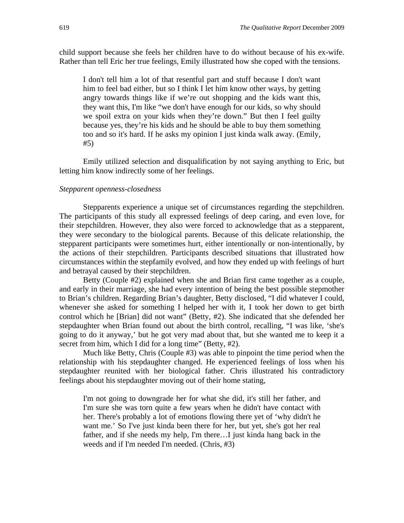child support because she feels her children have to do without because of his ex-wife. Rather than tell Eric her true feelings, Emily illustrated how she coped with the tensions.

I don't tell him a lot of that resentful part and stuff because I don't want him to feel bad either, but so I think I let him know other ways, by getting angry towards things like if we're out shopping and the kids want this, they want this, I'm like "we don't have enough for our kids, so why should we spoil extra on your kids when they're down." But then I feel guilty because yes, they're his kids and he should be able to buy them something too and so it's hard. If he asks my opinion I just kinda walk away. (Emily, #5)

Emily utilized selection and disqualification by not saying anything to Eric, but letting him know indirectly some of her feelings.

### *Stepparent openness-closedness*

Stepparents experience a unique set of circumstances regarding the stepchildren. The participants of this study all expressed feelings of deep caring, and even love, for their stepchildren. However, they also were forced to acknowledge that as a stepparent, they were secondary to the biological parents. Because of this delicate relationship, the stepparent participants were sometimes hurt, either intentionally or non-intentionally, by the actions of their stepchildren. Participants described situations that illustrated how circumstances within the stepfamily evolved, and how they ended up with feelings of hurt and betrayal caused by their stepchildren.

Betty (Couple #2) explained when she and Brian first came together as a couple, and early in their marriage, she had every intention of being the best possible stepmother to Brian's children. Regarding Brian's daughter, Betty disclosed, "I did whatever I could, whenever she asked for something I helped her with it, I took her down to get birth control which he [Brian] did not want" (Betty, #2). She indicated that she defended her stepdaughter when Brian found out about the birth control, recalling, "I was like, 'she's going to do it anyway,' but he got very mad about that, but she wanted me to keep it a secret from him, which I did for a long time" (Betty, #2).

Much like Betty, Chris (Couple #3) was able to pinpoint the time period when the relationship with his stepdaughter changed. He experienced feelings of loss when his stepdaughter reunited with her biological father. Chris illustrated his contradictory feelings about his stepdaughter moving out of their home stating,

I'm not going to downgrade her for what she did, it's still her father, and I'm sure she was torn quite a few years when he didn't have contact with her. There's probably a lot of emotions flowing there yet of 'why didn't he want me.' So I've just kinda been there for her, but yet, she's got her real father, and if she needs my help, I'm there…I just kinda hang back in the weeds and if I'm needed I'm needed. (Chris, #3)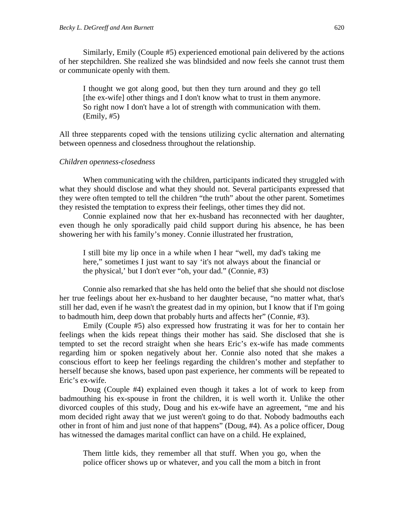Similarly, Emily (Couple #5) experienced emotional pain delivered by the actions of her stepchildren. She realized she was blindsided and now feels she cannot trust them or communicate openly with them.

I thought we got along good, but then they turn around and they go tell [the ex-wife] other things and I don't know what to trust in them anymore. So right now I don't have a lot of strength with communication with them. (Emily, #5)

All three stepparents coped with the tensions utilizing cyclic alternation and alternating between openness and closedness throughout the relationship.

#### *Children openness-closedness*

When communicating with the children, participants indicated they struggled with what they should disclose and what they should not. Several participants expressed that they were often tempted to tell the children "the truth" about the other parent. Sometimes they resisted the temptation to express their feelings, other times they did not.

Connie explained now that her ex-husband has reconnected with her daughter, even though he only sporadically paid child support during his absence, he has been showering her with his family's money. Connie illustrated her frustration,

I still bite my lip once in a while when I hear "well, my dad's taking me here," sometimes I just want to say 'it's not always about the financial or the physical,' but I don't ever "oh, your dad." (Connie, #3)

Connie also remarked that she has held onto the belief that she should not disclose her true feelings about her ex-husband to her daughter because, "no matter what, that's still her dad, even if he wasn't the greatest dad in my opinion, but I know that if I'm going to badmouth him, deep down that probably hurts and affects her" (Connie, #3).

Emily (Couple #5) also expressed how frustrating it was for her to contain her feelings when the kids repeat things their mother has said. She disclosed that she is tempted to set the record straight when she hears Eric's ex-wife has made comments regarding him or spoken negatively about her. Connie also noted that she makes a conscious effort to keep her feelings regarding the children's mother and stepfather to herself because she knows, based upon past experience, her comments will be repeated to Eric's ex-wife.

Doug (Couple #4) explained even though it takes a lot of work to keep from badmouthing his ex-spouse in front the children, it is well worth it. Unlike the other divorced couples of this study, Doug and his ex-wife have an agreement, "me and his mom decided right away that we just weren't going to do that. Nobody badmouths each other in front of him and just none of that happens" (Doug, #4). As a police officer, Doug has witnessed the damages marital conflict can have on a child. He explained,

Them little kids, they remember all that stuff. When you go, when the police officer shows up or whatever, and you call the mom a bitch in front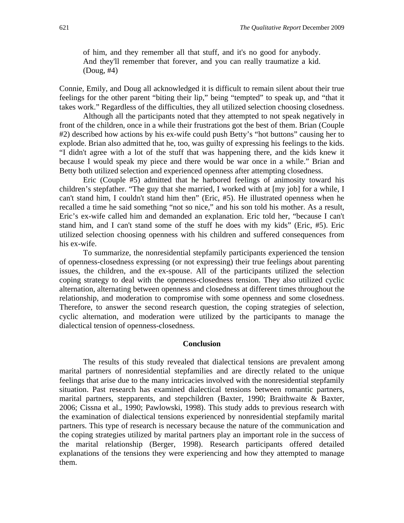of him, and they remember all that stuff, and it's no good for anybody. And they'll remember that forever, and you can really traumatize a kid. (Doug, #4)

Connie, Emily, and Doug all acknowledged it is difficult to remain silent about their true feelings for the other parent "biting their lip," being "tempted" to speak up, and "that it takes work." Regardless of the difficulties, they all utilized selection choosing closedness.

Although all the participants noted that they attempted to not speak negatively in front of the children, once in a while their frustrations got the best of them. Brian (Couple #2) described how actions by his ex-wife could push Betty's "hot buttons" causing her to explode. Brian also admitted that he, too, was guilty of expressing his feelings to the kids. "I didn't agree with a lot of the stuff that was happening there, and the kids knew it because I would speak my piece and there would be war once in a while." Brian and Betty both utilized selection and experienced openness after attempting closedness.

Eric (Couple #5) admitted that he harbored feelings of animosity toward his children's stepfather. "The guy that she married, I worked with at [my job] for a while, I can't stand him, I couldn't stand him then" (Eric, #5). He illustrated openness when he recalled a time he said something "not so nice," and his son told his mother. As a result, Eric's ex-wife called him and demanded an explanation. Eric told her, "because I can't stand him, and I can't stand some of the stuff he does with my kids" (Eric, #5). Eric utilized selection choosing openness with his children and suffered consequences from his ex-wife.

To summarize, the nonresidential stepfamily participants experienced the tension of openness-closedness expressing (or not expressing) their true feelings about parenting issues, the children, and the ex-spouse. All of the participants utilized the selection coping strategy to deal with the openness-closedness tension. They also utilized cyclic alternation, alternating between openness and closedness at different times throughout the relationship, and moderation to compromise with some openness and some closedness. Therefore, to answer the second research question, the coping strategies of selection, cyclic alternation, and moderation were utilized by the participants to manage the dialectical tension of openness-closedness.

#### **Conclusion**

The results of this study revealed that dialectical tensions are prevalent among marital partners of nonresidential stepfamilies and are directly related to the unique feelings that arise due to the many intricacies involved with the nonresidential stepfamily situation. Past research has examined dialectical tensions between romantic partners, marital partners, stepparents, and stepchildren (Baxter, 1990; Braithwaite & Baxter, 2006; Cissna et al., 1990; Pawlowski, 1998). This study adds to previous research with the examination of dialectical tensions experienced by nonresidential stepfamily marital partners. This type of research is necessary because the nature of the communication and the coping strategies utilized by marital partners play an important role in the success of the marital relationship (Berger, 1998). Research participants offered detailed explanations of the tensions they were experiencing and how they attempted to manage them.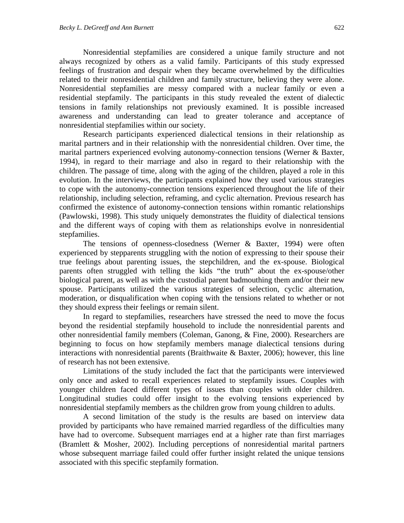Nonresidential stepfamilies are considered a unique family structure and not always recognized by others as a valid family. Participants of this study expressed feelings of frustration and despair when they became overwhelmed by the difficulties related to their nonresidential children and family structure, believing they were alone. Nonresidential stepfamilies are messy compared with a nuclear family or even a residential stepfamily. The participants in this study revealed the extent of dialectic tensions in family relationships not previously examined. It is possible increased awareness and understanding can lead to greater tolerance and acceptance of nonresidential stepfamilies within our society.

Research participants experienced dialectical tensions in their relationship as marital partners and in their relationship with the nonresidential children. Over time, the marital partners experienced evolving autonomy-connection tensions (Werner & Baxter, 1994), in regard to their marriage and also in regard to their relationship with the children. The passage of time, along with the aging of the children, played a role in this evolution. In the interviews, the participants explained how they used various strategies to cope with the autonomy-connection tensions experienced throughout the life of their relationship, including selection, reframing, and cyclic alternation. Previous research has confirmed the existence of autonomy-connection tensions within romantic relationships (Pawlowski, 1998). This study uniquely demonstrates the fluidity of dialectical tensions and the different ways of coping with them as relationships evolve in nonresidential stepfamilies.

The tensions of openness-closedness (Werner & Baxter, 1994) were often experienced by stepparents struggling with the notion of expressing to their spouse their true feelings about parenting issues, the stepchildren, and the ex-spouse. Biological parents often struggled with telling the kids "the truth" about the ex-spouse/other biological parent, as well as with the custodial parent badmouthing them and/or their new spouse. Participants utilized the various strategies of selection, cyclic alternation, moderation, or disqualification when coping with the tensions related to whether or not they should express their feelings or remain silent.

In regard to stepfamilies, researchers have stressed the need to move the focus beyond the residential stepfamily household to include the nonresidential parents and other nonresidential family members (Coleman, Ganong, & Fine, 2000). Researchers are beginning to focus on how stepfamily members manage dialectical tensions during interactions with nonresidential parents (Braithwaite & Baxter, 2006); however, this line of research has not been extensive.

Limitations of the study included the fact that the participants were interviewed only once and asked to recall experiences related to stepfamily issues. Couples with younger children faced different types of issues than couples with older children. Longitudinal studies could offer insight to the evolving tensions experienced by nonresidential stepfamily members as the children grow from young children to adults.

A second limitation of the study is the results are based on interview data provided by participants who have remained married regardless of the difficulties many have had to overcome. Subsequent marriages end at a higher rate than first marriages (Bramlett & Mosher, 2002). Including perceptions of nonresidential marital partners whose subsequent marriage failed could offer further insight related the unique tensions associated with this specific stepfamily formation.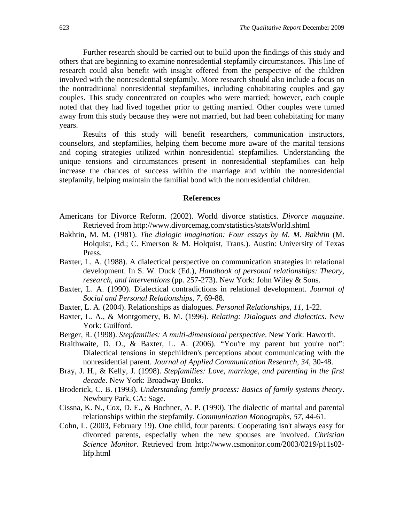Further research should be carried out to build upon the findings of this study and others that are beginning to examine nonresidential stepfamily circumstances. This line of research could also benefit with insight offered from the perspective of the children involved with the nonresidential stepfamily. More research should also include a focus on the nontraditional nonresidential stepfamilies, including cohabitating couples and gay couples. This study concentrated on couples who were married; however, each couple noted that they had lived together prior to getting married. Other couples were turned away from this study because they were not married, but had been cohabitating for many years.

Results of this study will benefit researchers, communication instructors, counselors, and stepfamilies, helping them become more aware of the marital tensions and coping strategies utilized within nonresidential stepfamilies. Understanding the unique tensions and circumstances present in nonresidential stepfamilies can help increase the chances of success within the marriage and within the nonresidential stepfamily, helping maintain the familial bond with the nonresidential children.

#### **References**

- Americans for Divorce Reform. (2002). World divorce statistics. *Divorce magazine*. Retrieved from http://www.divorcemag.com/statistics/statsWorld.shtml
- Bakhtin, M. M. (1981). *The dialogic imagination: Four essays by M. M. Bakhtin* (M. Holquist, Ed.; C. Emerson & M. Holquist, Trans.). Austin: University of Texas Press.
- Baxter, L. A. (1988). A dialectical perspective on communication strategies in relational development. In S. W. Duck (Ed.), *Handbook of personal relationships: Theory, research, and interventions* (pp. 257-273). New York: John Wiley & Sons.
- Baxter, L. A. (1990). Dialectical contradictions in relational development. *Journal of Social and Personal Relationships*, *7*, 69-88.
- Baxter, L. A. (2004). Relationships as dialogues. *Personal Relationships*, *11*, 1-22.
- Baxter, L. A., & Montgomery, B. M. (1996). *Relating: Dialogues and dialectics.* New York: Guilford.
- Berger, R. (1998). *Stepfamilies: A multi-dimensional perspective*. New York: Haworth.
- Braithwaite, D. O., & Baxter, L. A. (2006). "You're my parent but you're not": Dialectical tensions in stepchildren's perceptions about communicating with the nonresidential parent. *Journal of Applied Communication Research*, *34*, 30-48.
- Bray, J. H., & Kelly, J. (1998). *Stepfamilies: Love, marriage, and parenting in the first decade*. New York: Broadway Books.
- Broderick, C. B. (1993). *Understanding family process: Basics of family systems theory*. Newbury Park, CA: Sage.
- Cissna, K. N., Cox, D. E., & Bochner, A. P. (1990). The dialectic of marital and parental relationships within the stepfamily. *Communication Monographs*, *57*, 44-61.
- Cohn, L. (2003, February 19). One child, four parents: Cooperating isn't always easy for divorced parents, especially when the new spouses are involved. *Christian Science Monitor*. Retrieved from http://www.csmonitor.com/2003/0219/p11s02 lifp.html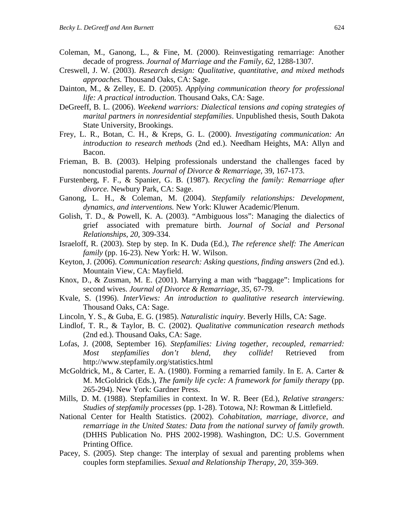- Coleman, M., Ganong, L., & Fine, M. (2000). Reinvestigating remarriage: Another decade of progress. *Journal of Marriage and the Family*, *62*, 1288-1307.
- Creswell, J. W. (2003). *Research design: Qualitative, quantitative, and mixed methods approaches.* Thousand Oaks, CA: Sage.
- Dainton, M., & Zelley, E. D. (2005). *Applying communication theory for professional life: A practical introduction.* Thousand Oaks, CA: Sage.
- DeGreeff, B. L. (2006). *Weekend warriors: Dialectical tensions and coping strategies of marital partners in nonresidential stepfamilies*. Unpublished thesis, South Dakota State University, Brookings.
- Frey, L. R., Botan, C. H., & Kreps, G. L. (2000). *Investigating communication: An introduction to research methods* (2nd ed.). Needham Heights, MA: Allyn and Bacon.
- Frieman, B. B. (2003). Helping professionals understand the challenges faced by noncustodial parents. *Journal of Divorce & Remarriage*, 39, 167-173.
- Furstenberg, F. F., & Spanier, G. B. (1987). *Recycling the family: Remarriage after divorce.* Newbury Park, CA: Sage.
- Ganong, L. H., & Coleman, M. (2004). *Stepfamily relationships: Development, dynamics, and interventions.* New York: Kluwer Academic/Plenum.
- Golish, T. D., & Powell, K. A. (2003). "Ambiguous loss": Managing the dialectics of grief associated with premature birth. *Journal of Social and Personal Relationships*, *20*, 309-334.
- Israeloff, R. (2003). Step by step. In K. Duda (Ed.), *The reference shelf: The American family* (pp. 16-23). New York: H. W. Wilson.
- Keyton, J. (2006). *Communication research: Asking questions, finding answers* (2nd ed.). Mountain View, CA: Mayfield.
- Knox, D., & Zusman, M. E. (2001). Marrying a man with "baggage": Implications for second wives. *Journal of Divorce & Remarriage*, *35*, 67-79.
- Kvale, S. (1996). *InterViews: An introduction to qualitative research interviewing.* Thousand Oaks, CA: Sage.
- Lincoln, Y. S., & Guba, E. G. (1985). *Naturalistic inquiry*. Beverly Hills, CA: Sage.
- Lindlof, T. R., & Taylor, B. C. (2002). *Qualitative communication research methods* (2nd ed.). Thousand Oaks, CA: Sage.
- Lofas, J. (2008, September 16). *Stepfamilies: Living together, recoupled, remarried: Most stepfamilies don't blend, they collide!* Retrieved from http://www.stepfamily.org/statistics.html
- McGoldrick, M., & Carter, E. A. (1980). Forming a remarried family. In E. A. Carter & M. McGoldrick (Eds.), *The family life cycle: A framework for family therapy* (pp. 265-294). New York: Gardner Press.
- Mills, D. M. (1988). Stepfamilies in context. In W. R. Beer (Ed.), *Relative strangers: Studies of stepfamily processes* (pp. 1-28). Totowa, NJ: Rowman & Littlefield.
- National Center for Health Statistics. (2002). *Cohabitation, marriage, divorce, and remarriage in the United States: Data from the national survey of family growth.* (DHHS Publication No. PHS 2002-1998). Washington, DC: U.S. Government Printing Office.
- Pacey, S. (2005). Step change: The interplay of sexual and parenting problems when couples form stepfamilies. *Sexual and Relationship Therapy*, *20*, 359-369.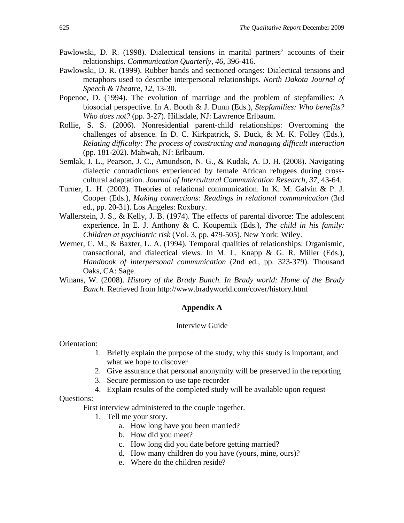- Pawlowski, D. R. (1998). Dialectical tensions in marital partners' accounts of their relationships. *Communication Quarterly*, *46*, 396-416.
- Pawlowski, D. R. (1999). Rubber bands and sectioned oranges: Dialectical tensions and metaphors used to describe interpersonal relationships. *North Dakota Journal of Speech & Theatre*, *12*, 13-30.
- Popenoe, D. (1994). The evolution of marriage and the problem of stepfamilies: A biosocial perspective. In A. Booth & J. Dunn (Eds.), *Stepfamilies: Who benefits? Who does not?* (pp. 3-27). Hillsdale, NJ: Lawrence Erlbaum.
- Rollie, S. S. (2006). Nonresidential parent-child relationships: Overcoming the challenges of absence. In D. C. Kirkpatrick, S. Duck, & M. K. Folley (Eds.), *Relating difficulty: The process of constructing and managing difficult interaction* (pp. 181-202). Mahwah, NJ: Erlbaum.
- Semlak, J. L., Pearson, J. C., Amundson, N. G., & Kudak, A. D. H. (2008). Navigating dialectic contradictions experienced by female African refugees during crosscultural adaptation. *Journal of Intercultural Communication Research*, *37*, 43-64.
- Turner, L. H. (2003). Theories of relational communication. In K. M. Galvin & P. J. Cooper (Eds.), *Making connections: Readings in relational communication* (3rd ed., pp. 20-31). Los Angeles: Roxbury.
- Wallerstein, J. S., & Kelly, J. B. (1974). The effects of parental divorce: The adolescent experience. In E. J. Anthony & C. Koupernik (Eds.), *The child in his family: Children at psychiatric risk* (Vol. 3, pp. 479-505). New York: Wiley.
- Werner, C. M., & Baxter, L. A. (1994). Temporal qualities of relationships: Organismic, transactional, and dialectical views. In M. L. Knapp & G. R. Miller (Eds.), *Handbook of interpersonal communication* (2nd ed., pp. 323-379). Thousand Oaks, CA: Sage.
- Winans, W. (2008). *History of the Brady Bunch. In Brady world: Home of the Brady Bunch.* Retrieved from http://www.bradyworld.com/cover/history.html

## **Appendix A**

#### Interview Guide

Orientation:

- 1. Briefly explain the purpose of the study, why this study is important, and what we hope to discover
- 2. Give assurance that personal anonymity will be preserved in the reporting
- 3. Secure permission to use tape recorder
- 4. Explain results of the completed study will be available upon request

Questions:

First interview administered to the couple together.

- 1. Tell me your story.
	- a. How long have you been married?
	- b. How did you meet?
	- c. How long did you date before getting married?
	- d. How many children do you have (yours, mine, ours)?
	- e. Where do the children reside?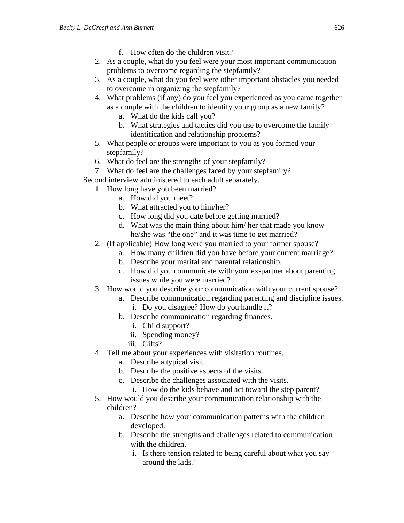- f. How often do the children visit?
- 2. As a couple, what do you feel were your most important communication problems to overcome regarding the stepfamily?
- 3. As a couple, what do you feel were other important obstacles you needed to overcome in organizing the stepfamily?
- 4. What problems (if any) do you feel you experienced as you came together as a couple with the children to identify your group as a new family?
	- a. What do the kids call you?
	- b. What strategies and tactics did you use to overcome the family identification and relationship problems?
- 5. What people or groups were important to you as you formed your stepfamily?
- 6. What do feel are the strengths of your stepfamily?
- 7. What do feel are the challenges faced by your stepfamily?
- Second interview administered to each adult separately.
	- 1. How long have you been married?
		- a. How did you meet?
		- b. What attracted you to him/her?
		- c. How long did you date before getting married?
		- d. What was the main thing about him/ her that made you know he/she was "the one" and it was time to get married?
	- 2. (If applicable) How long were you married to your former spouse?
		- a. How many children did you have before your current marriage?
		- b. Describe your marital and parental relationship.
		- c. How did you communicate with your ex-partner about parenting issues while you were married?
	- 3. How would you describe your communication with your current spouse?
		- a. Describe communication regarding parenting and discipline issues.
			- i. Do you disagree? How do you handle it?
		- b. Describe communication regarding finances.
			- i. Child support?
			- ii. Spending money?
			- iii. Gifts?
	- 4. Tell me about your experiences with visitation routines.
		- a. Describe a typical visit.
		- b. Describe the positive aspects of the visits.
		- c. Describe the challenges associated with the visits.
			- i. How do the kids behave and act toward the step parent?
	- 5. How would you describe your communication relationship with the children?
		- a. Describe how your communication patterns with the children developed.
		- b. Describe the strengths and challenges related to communication with the children.
			- i. Is there tension related to being careful about what you say around the kids?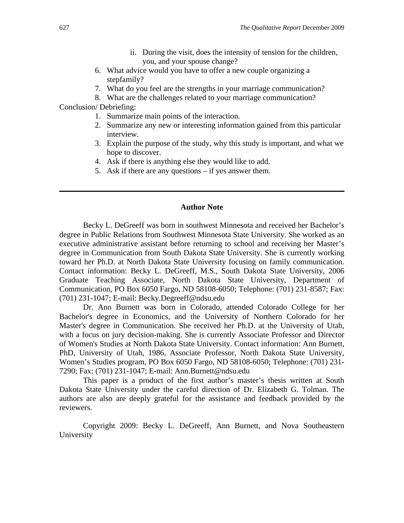- ii. During the visit, does the intensity of tension for the children, you, and your spouse change?
- 6. What advice would you have to offer a new couple organizing a stepfamily?
- 7. What do you feel are the strengths in your marriage communication?
- 8. What are the challenges related to your marriage communication?

Conclusion/ Debriefing:

- 1. Summarize main points of the interaction.
- 2. Summarize any new or interesting information gained from this particular interview.
- 3. Explain the purpose of the study, why this study is important, and what we hope to discover.
- 4. Ask if there is anything else they would like to add.
- 5. Ask if there are any questions if yes answer them.

### **Author Note**

Becky L. DeGreeff was born in southwest Minnesota and received her Bachelor's degree in Public Relations from Southwest Minnesota State University. She worked as an executive administrative assistant before returning to school and receiving her Master's degree in Communication from South Dakota State University. She is currently working toward her Ph.D. at North Dakota State University focusing on family communication. Contact information: Becky L. DeGreeff, M.S., South Dakota State University, 2006 Graduate Teaching Associate, North Dakota State University, Department of Communication, PO Box 6050 Fargo, ND 58108-6050; Telephone: (701) 231-8587; Fax: (701) 231-1047; E-mail: Becky.Degreeff@ndsu.edu

Dr. Ann Burnett was born in Colorado, attended Colorado College for her Bachelor's degree in Economics, and the University of Northern Colorado for her Master's degree in Communication. She received her Ph.D. at the University of Utah, with a focus on jury decision-making. She is currently Associate Professor and Director of Women's Studies at North Dakota State University. Contact information: Ann Burnett, PhD, University of Utah, 1986, Associate Professor, North Dakota State University, Women's Studies program, PO Box 6050 Fargo, ND 58108-6050; Telephone: (701) 231- 7290; Fax: (701) 231-1047; E-mail: Ann.Burnett@ndsu.edu

This paper is a product of the first author's master's thesis written at South Dakota State University under the careful direction of Dr. Elizabeth G. Tolman. The authors are also are deeply grateful for the assistance and feedback provided by the reviewers.

Copyright 2009: Becky L. DeGreeff, Ann Burnett, and Nova Southeastern University